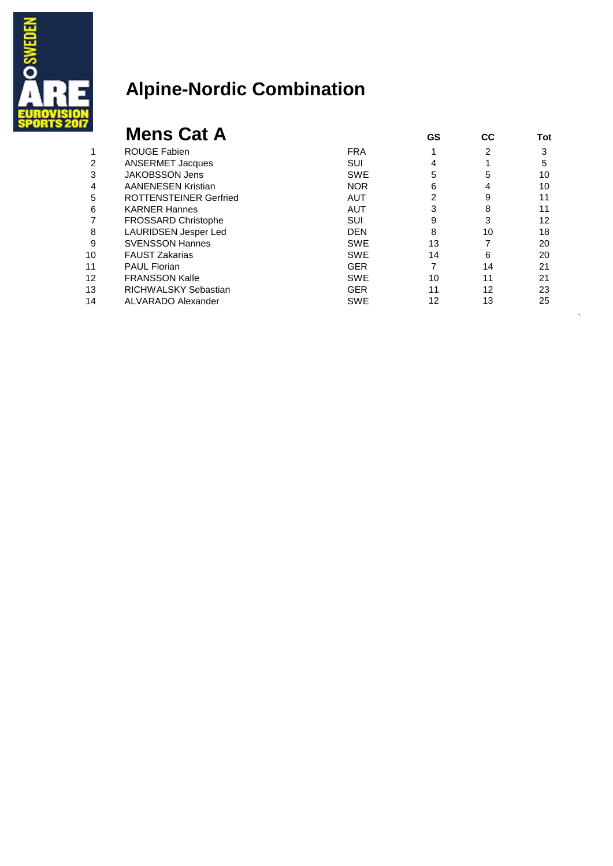

|                                                  | 2<br>4   | 3  |
|--------------------------------------------------|----------|----|
| <b>FRA</b><br><b>ROUGE Fabien</b>                |          |    |
| <b>ANSERMET Jacques</b><br>SUI<br>2              |          | 5  |
| <b>JAKOBSSON Jens</b><br>3<br><b>SWE</b>         | 5<br>5   | 10 |
| <b>AANENESEN Kristian</b><br><b>NOR</b><br>4     | 6<br>4   | 10 |
| <b>ROTTENSTEINER Gerfried</b><br>5<br><b>AUT</b> | 2<br>9   | 11 |
| 6<br><b>KARNER Hannes</b><br><b>AUT</b>          | 8        | 11 |
| <b>FROSSARD Christophe</b><br>SUI                | 3<br>9   | 12 |
| LAURIDSEN Jesper Led<br><b>DEN</b><br>8          | 8<br>10  | 18 |
| 9<br><b>SVENSSON Hannes</b><br><b>SWE</b>        | 13       | 20 |
| <b>FAUST Zakarias</b><br><b>SWE</b><br>10        | 14<br>6  | 20 |
| <b>PAUL Florian</b><br><b>GER</b><br>11          | 7<br>14  | 21 |
| 12<br><b>FRANSSON Kalle</b><br><b>SWE</b>        | 10<br>11 | 21 |
| 13<br>RICHWALSKY Sebastian<br><b>GER</b>         | 11<br>12 | 23 |
| 14<br>ALVARADO Alexander<br><b>SWE</b>           | 12<br>13 | 25 |

.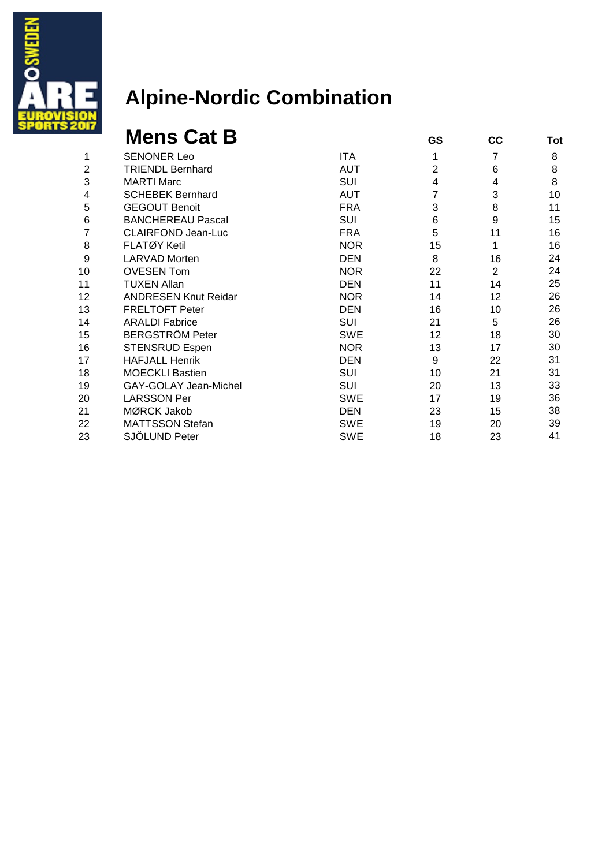

|    | <b>Mens Cat B</b>           |            | GS             | cc             | Tot |
|----|-----------------------------|------------|----------------|----------------|-----|
| 1  | <b>SENONER Leo</b>          | <b>ITA</b> | 1              | 7              | 8   |
| 2  | <b>TRIENDL Bernhard</b>     | <b>AUT</b> | $\overline{2}$ | 6              | 8   |
| 3  | <b>MARTI Marc</b>           | SUI        | 4              | 4              | 8   |
| 4  | <b>SCHEBEK Bernhard</b>     | <b>AUT</b> | 7              | 3              | 10  |
| 5  | <b>GEGOUT Benoit</b>        | <b>FRA</b> | 3              | 8              | 11  |
| 6  | <b>BANCHEREAU Pascal</b>    | <b>SUI</b> | 6              | 9              | 15  |
|    | <b>CLAIRFOND Jean-Luc</b>   | <b>FRA</b> | 5              | 11             | 16  |
| 8  | <b>FLATØY Ketil</b>         | <b>NOR</b> | 15             | 1              | 16  |
| 9  | <b>LARVAD Morten</b>        | <b>DEN</b> | 8              | 16             | 24  |
| 10 | <b>OVESEN Tom</b>           | <b>NOR</b> | 22             | $\overline{2}$ | 24  |
| 11 | <b>TUXEN Allan</b>          | <b>DEN</b> | 11             | 14             | 25  |
| 12 | <b>ANDRESEN Knut Reidar</b> | <b>NOR</b> | 14             | 12             | 26  |
| 13 | <b>FRELTOFT Peter</b>       | <b>DEN</b> | 16             | 10             | 26  |
| 14 | <b>ARALDI Fabrice</b>       | <b>SUI</b> | 21             | 5              | 26  |
| 15 | <b>BERGSTRÖM Peter</b>      | <b>SWE</b> | 12             | 18             | 30  |
| 16 | <b>STENSRUD Espen</b>       | <b>NOR</b> | 13             | 17             | 30  |
| 17 | <b>HAFJALL Henrik</b>       | <b>DEN</b> | 9              | 22             | 31  |
| 18 | <b>MOECKLI Bastien</b>      | <b>SUI</b> | 10             | 21             | 31  |
| 19 | GAY-GOLAY Jean-Michel       | SUI        | 20             | 13             | 33  |
| 20 | <b>LARSSON Per</b>          | <b>SWE</b> | 17             | 19             | 36  |
| 21 | MØRCK Jakob                 | <b>DEN</b> | 23             | 15             | 38  |
| 22 | <b>MATTSSON Stefan</b>      | <b>SWE</b> | 19             | 20             | 39  |
| 23 | SJÖLUND Peter               | <b>SWE</b> | 18             | 23             | 41  |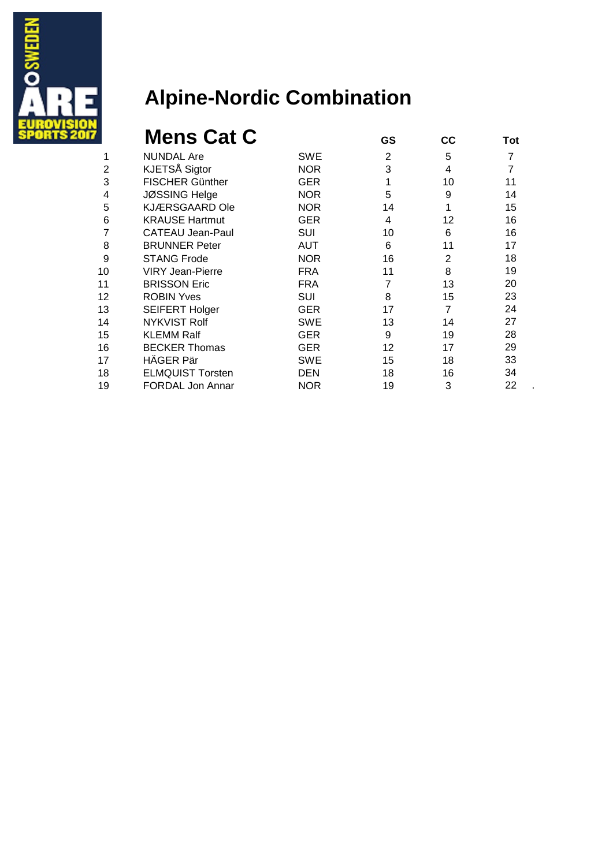

|    | <b>Mens Cat C</b>       |            | GS             | СC | Tot |
|----|-------------------------|------------|----------------|----|-----|
| 1  | <b>NUNDAL Are</b>       | SWE        | $\overline{2}$ | 5  | 7   |
| 2  | KJETSÅ Sigtor           | <b>NOR</b> | 3              | 4  | 7   |
| 3  | <b>FISCHER Günther</b>  | <b>GER</b> |                | 10 | 11  |
| 4  | <b>JØSSING Helge</b>    | <b>NOR</b> | 5              | 9  | 14  |
| 5  | <b>KJÆRSGAARD Ole</b>   | <b>NOR</b> | 14             | 1  | 15  |
| 6  | <b>KRAUSE Hartmut</b>   | <b>GER</b> | 4              | 12 | 16  |
|    | <b>CATEAU Jean-Paul</b> | SUI        | 10             | 6  | 16  |
| 8  | <b>BRUNNER Peter</b>    | <b>AUT</b> | 6              | 11 | 17  |
| 9  | <b>STANG Frode</b>      | <b>NOR</b> | 16             | 2  | 18  |
| 10 | <b>VIRY Jean-Pierre</b> | <b>FRA</b> | 11             | 8  | 19  |
| 11 | <b>BRISSON Eric</b>     | <b>FRA</b> | 7              | 13 | 20  |
| 12 | <b>ROBIN Yves</b>       | SUI        | 8              | 15 | 23  |
| 13 | <b>SEIFERT Holger</b>   | <b>GER</b> | 17             | 7  | 24  |
| 14 | <b>NYKVIST Rolf</b>     | SWE        | 13             | 14 | 27  |
| 15 | <b>KLEMM Ralf</b>       | GER        | 9              | 19 | 28  |
| 16 | <b>BECKER Thomas</b>    | GER        | 12             | 17 | 29  |
| 17 | HÄGER Pär               | <b>SWE</b> | 15             | 18 | 33  |
| 18 | <b>ELMQUIST Torsten</b> | <b>DEN</b> | 18             | 16 | 34  |
| 19 | <b>FORDAL Jon Annar</b> | <b>NOR</b> | 19             | 3  | 22  |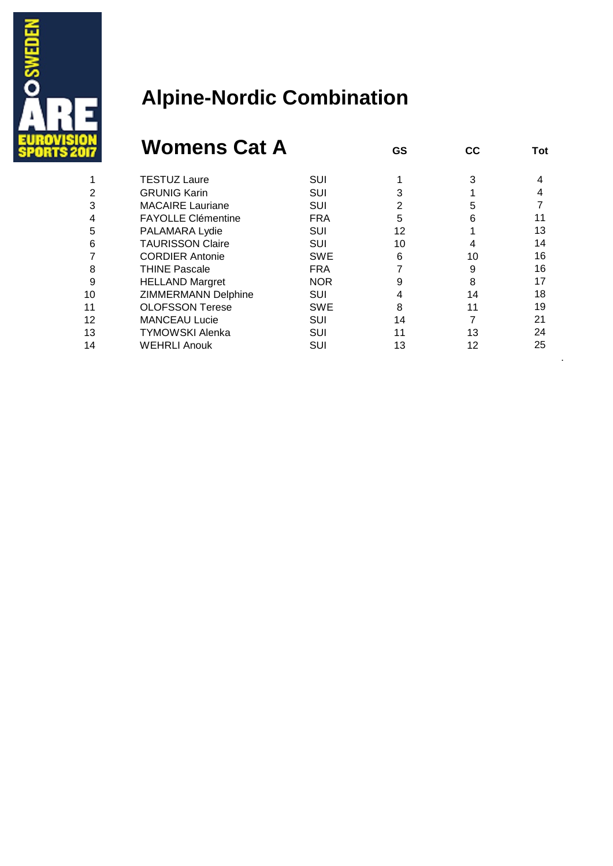

#### **Womens Cat A GS CC** Tot

|    | <b>TESTUZ Laure</b>        | <b>SUI</b> |    |    |    |
|----|----------------------------|------------|----|----|----|
|    | <b>GRUNIG Karin</b>        | SUI        |    |    |    |
|    | <b>MACAIRE Lauriane</b>    | <b>SUI</b> | 2  | 5  |    |
|    | <b>FAYOLLE Clémentine</b>  | <b>FRA</b> | 5  | 6  |    |
| 5  | PALAMARA Lydie             | SUI        | 12 |    | 13 |
| 6  | <b>TAURISSON Claire</b>    | SUI        | 10 |    | 14 |
|    | <b>CORDIER Antonie</b>     | <b>SWE</b> | 6  | 10 | 16 |
| 8  | <b>THINE Pascale</b>       | <b>FRA</b> |    | 9  | 16 |
| 9  | <b>HELLAND Margret</b>     | <b>NOR</b> | 9  | 8  | 17 |
| 10 | <b>ZIMMERMANN Delphine</b> | SUI        |    | 14 | 18 |
| 11 | <b>OLOFSSON Terese</b>     | <b>SWE</b> | 8  | 11 | 19 |
| 12 | <b>MANCEAU Lucie</b>       | <b>SUI</b> | 14 |    | 21 |
| 13 | <b>TYMOWSKI Alenka</b>     | SUI        | 11 | 13 | 24 |
| 14 | <b>WEHRLI Anouk</b>        | SUI        | 13 | 12 | 25 |
|    |                            |            |    |    |    |

.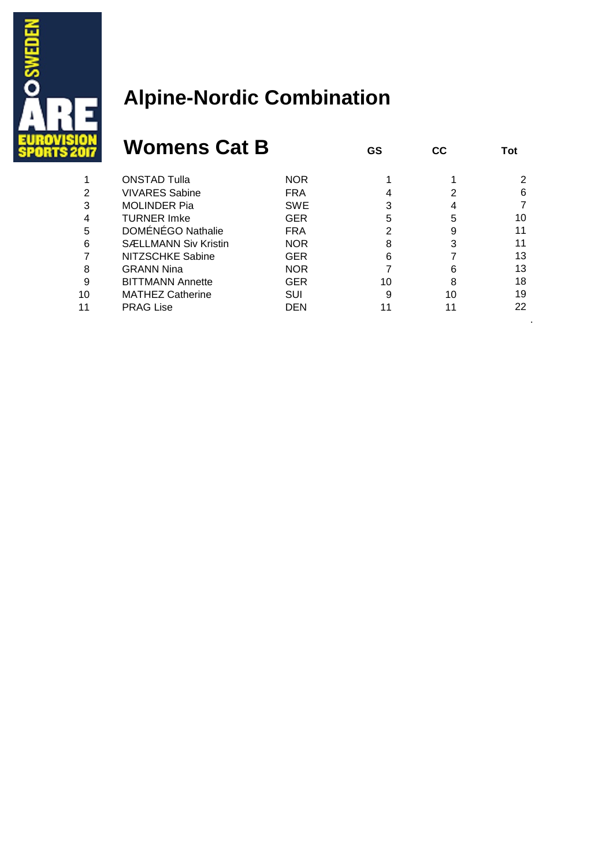

|    | <b>Womens Cat B</b>         |            | GS | <b>CC</b> | Tot |
|----|-----------------------------|------------|----|-----------|-----|
|    | <b>ONSTAD Tulla</b>         | <b>NOR</b> |    |           | 2   |
| 2  | <b>VIVARES Sabine</b>       | <b>FRA</b> |    | 2         | 6   |
| 3  | <b>MOLINDER Pia</b>         | <b>SWE</b> |    |           |     |
| 4  | <b>TURNER Imke</b>          | <b>GER</b> | 5  | 5         | 10  |
| 5  | DOMÉNÉGO Nathalie           | <b>FRA</b> |    | 9         | 11  |
| 6  | <b>SÆLLMANN Siv Kristin</b> | <b>NOR</b> | 8  | 3         | 11  |
|    | NITZSCHKE Sabine            | <b>GER</b> | 6  |           | 13  |
| 8  | <b>GRANN Nina</b>           | <b>NOR</b> |    | 6         | 13  |
| 9  | <b>BITTMANN Annette</b>     | <b>GER</b> | 10 | 8         | 18  |
| 10 | <b>MATHEZ Catherine</b>     | <b>SUI</b> | 9  | 10        | 19  |
| 11 | <b>PRAG Lise</b>            | DEN        |    |           | 22  |
|    |                             |            |    |           |     |

.